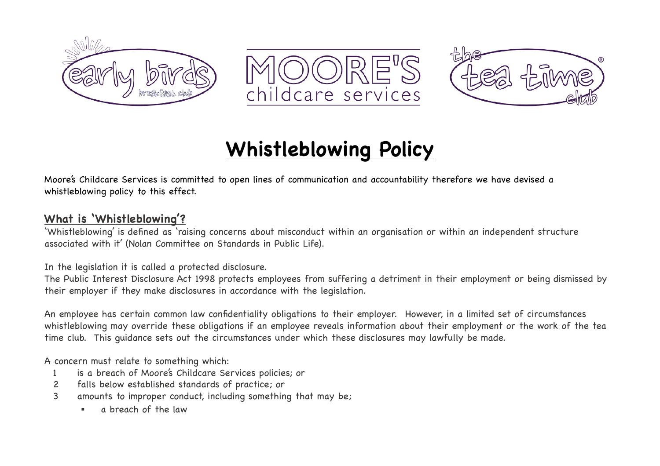





# **Whistleblowing Policy**

Moore's Childcare Services is committed to open lines of communication and accountability therefore we have devised a whistleblowing policy to this effect.

## **What is 'Whistleblowing'?**

'Whistleblowing' is defined as 'raising concerns about misconduct within an organisation or within an independent structure associated with it' (Nolan Committee on Standards in Public Life).

In the legislation it is called a protected disclosure.

The Public Interest Disclosure Act 1998 protects employees from suffering a detriment in their employment or being dismissed by their employer if they make disclosures in accordance with the legislation.

An employee has certain common law confidentiality obligations to their employer. However, in a limited set of circumstances whistleblowing may override these obligations if an employee reveals information about their employment or the work of the tea time club. This guidance sets out the circumstances under which these disclosures may lawfully be made.

A concern must relate to something which:

- 1 is a breach of Moore's Childcare Services policies; or
- 2 falls below established standards of practice; or
- 3 amounts to improper conduct, including something that may be;
	- a breach of the law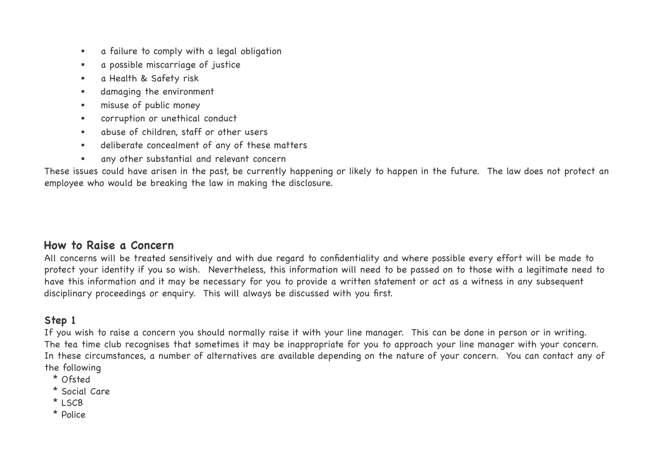- a failure to comply with a legal obligation
- a possible miscarriage of justice
- a Health & Safety risk
- damaging the environment
- **EXECUTE:** misuse of public money
- corruption or unethical conduct
- abuse of children, staff or other users
- deliberate concealment of any of these matters
- any other substantial and relevant concern

These issues could have arisen in the past, be currently happening or likely to happen in the future. The law does not protect an employee who would be breaking the law in making the disclosure.

### **How to Raise a Concern**

All concerns will be treated sensitively and with due regard to confidentiality and where possible every effort will be made to protect your identity if you so wish. Nevertheless, this information will need to be passed on to those with a legitimate need to have this information and it may be necessary for you to provide a written statement or act as a witness in any subsequent disciplinary proceedings or enquiry. This will always be discussed with you first.

## **Step 1**

If you wish to raise a concern you should normally raise it with your line manager. This can be done in person or in writing. The tea time club recognises that sometimes it may be inappropriate for you to approach your line manager with your concern. In these circumstances, a number of alternatives are available depending on the nature of your concern. You can contact any of the following

- \* Ofsted
- \* Social Care
- \* LSCB
- \* Police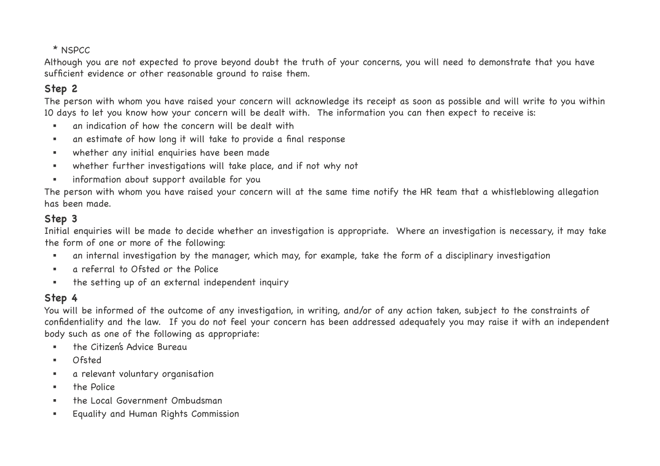### \* NSPCC

Although you are not expected to prove beyond doubt the truth of your concerns, you will need to demonstrate that you have sufficient evidence or other reasonable ground to raise them.

## **Step 2**

The person with whom you have raised your concern will acknowledge its receipt as soon as possible and will write to you within 10 days to let you know how your concern will be dealt with. The information you can then expect to receive is:

- an indication of how the concern will be dealt with
- an estimate of how long it will take to provide a final response
- whether any initial enquiries have been made
- whether further investigations will take place, and if not why not
- information about support available for you

The person with whom you have raised your concern will at the same time notify the HR team that a whistleblowing allegation has been made.

## **Step 3**

Initial enquiries will be made to decide whether an investigation is appropriate. Where an investigation is necessary, it may take the form of one or more of the following:

- an internal investigation by the manager, which may, for example, take the form of a disciplinary investigation
- a referral to Ofsted or the Police
- the setting up of an external independent inquiry

## **Step 4**

You will be informed of the outcome of any investigation, in writing, and/or of any action taken, subject to the constraints of confidentiality and the law. If you do not feel your concern has been addressed adequately you may raise it with an independent body such as one of the following as appropriate:

- **.** the Citizen's Advice Bureau
- Ofsted
- a relevant voluntary organisation
- the Police
- the Local Government Ombudsman
- Equality and Human Rights Commission